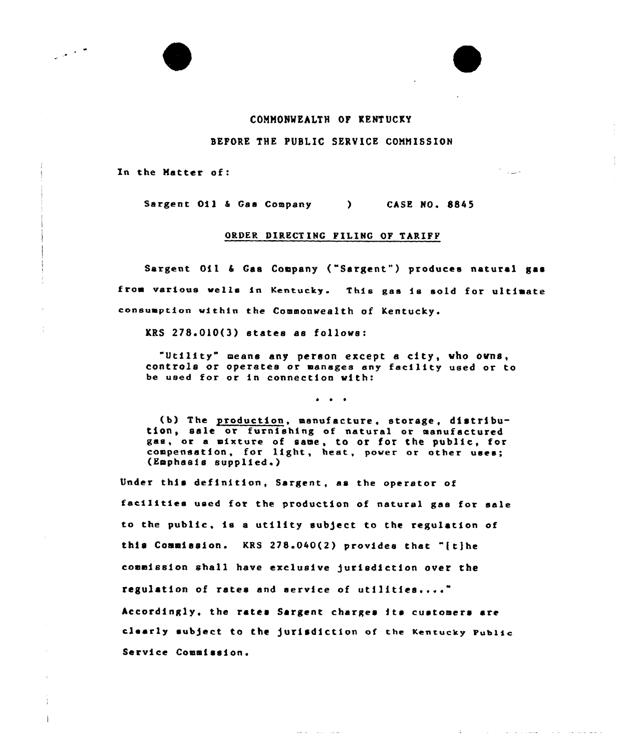## COMMONMEALTH OP KENTUCKY

## BEFORE THE PUBLIC SERVICE COMMISSION

الحب المستأثر

 $\Delta\omega$  .

والمفاضلين والمنادي والطيسيان فالتبار

In the Matter of:

مار<br>مارا مارايي

t  $\mathbf{1}$  Sargent Oil & Gas Company (CASE NO, 8845)

## ORDER DIRECTING PILING OP TARIPP

Sargent Oil & Gas Company ("Sargent") produces natural gas from various wells in Kentucky. This gas is sold for ultimate consumption within the Commonwealth of Kentucky.

 $KRS$   $278.010(3)$  states as follows:

"Utility" means any person except <sup>a</sup> city, vho ovns, controls or operates or manages eny fecility used or to be used for or in connection vith:

 $\bullet$   $\bullet$   $\bullet$ 

(b) The production, manufacture, storage, distribu- tion, sale or furnishing of natural or manufactured ges, or e mixture of same, to or for the public, for compensation, for light, heat, power or other uses; (Emphasis supplied.)

Under this definition, Sargent, as the operator of facilities used for the production of natural gas for sale to the public, is a utility subject to the regulation of this Commission. KRS  $278.040(2)$  provides that "[t]he commission shall have exclusive jurisdiction over the regulation of rates and service of utilities...." Accordingly, the rates Sargent charges its customers are clearly sub5ect to the Jurisdiction of the Kentucky public Service Commission.

and a strategic company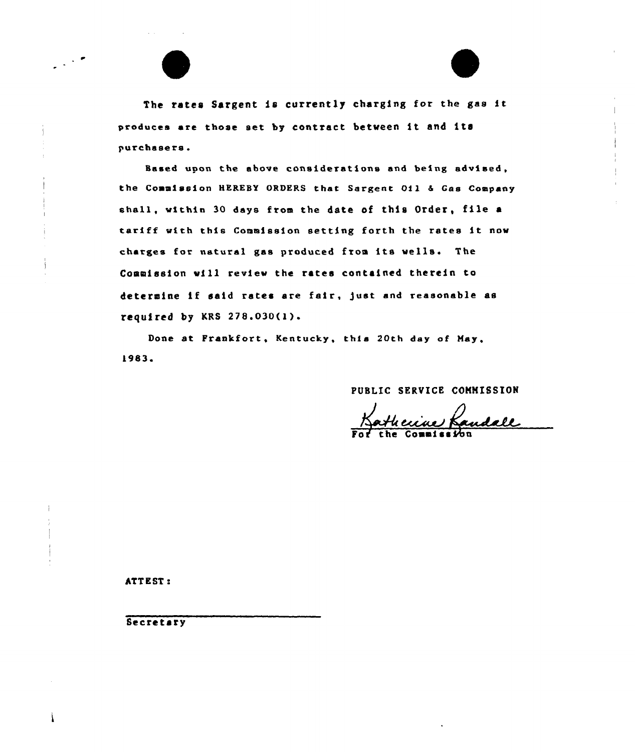

The rates Sargent is currently charging for the gas it produces are those set by contract between it and its purchasers.

Based upon the above considerations and being advised, the Commission HEREBY ORDERS that Sargent 011 & Gas Company shall, within 30 days from the date of this Order, file a tariff with this Commission setting forth the rates it now charges for natural gas produced from its wells. The Commission will review the rates contained therein to determine if said rates are fair, just and reasonable as required by KRS  $278.030(1)$ .

Done at Frankfort, Kentucky, this 20th day of May. 1983.

PUBLIC SERVICE COMMISSION

ATTEST:

Secretary